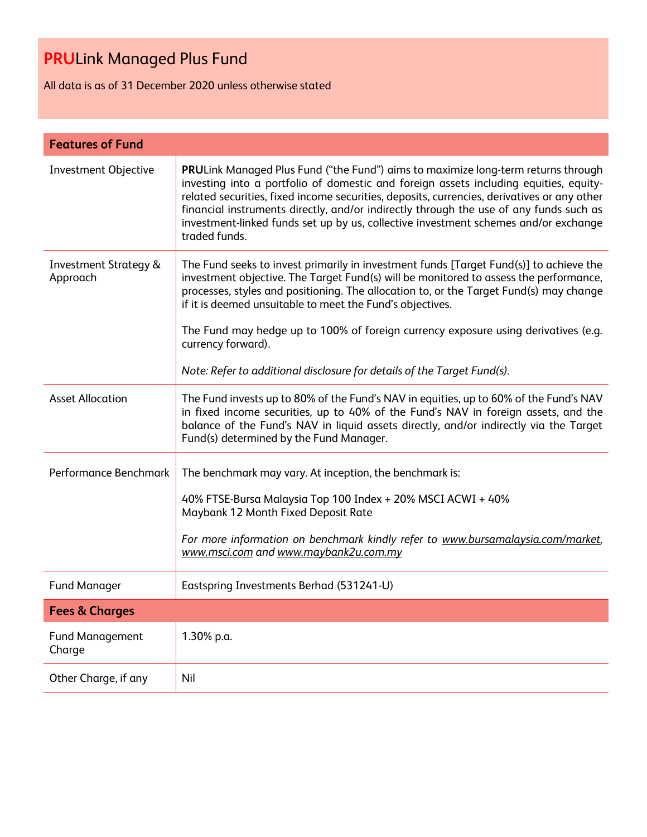All data is as of 31 December 2020 unless otherwise stated

| <b>Features of Fund</b>                      |                                                                                                                                                                                                                                                                                                                                                                                                                                                                             |
|----------------------------------------------|-----------------------------------------------------------------------------------------------------------------------------------------------------------------------------------------------------------------------------------------------------------------------------------------------------------------------------------------------------------------------------------------------------------------------------------------------------------------------------|
| <b>Investment Objective</b>                  | PRULink Managed Plus Fund ("the Fund") aims to maximize long-term returns through<br>investing into a portfolio of domestic and foreign assets including equities, equity-<br>related securities, fixed income securities, deposits, currencies, derivatives or any other<br>financial instruments directly, and/or indirectly through the use of any funds such as<br>investment-linked funds set up by us, collective investment schemes and/or exchange<br>traded funds. |
| <b>Investment Strategy &amp;</b><br>Approach | The Fund seeks to invest primarily in investment funds [Target Fund(s)] to achieve the<br>investment objective. The Target Fund(s) will be monitored to assess the performance,<br>processes, styles and positioning. The allocation to, or the Target Fund(s) may change<br>if it is deemed unsuitable to meet the Fund's objectives.<br>The Fund may hedge up to 100% of foreign currency exposure using derivatives (e.g.                                                |
|                                              | currency forward).                                                                                                                                                                                                                                                                                                                                                                                                                                                          |
|                                              | Note: Refer to additional disclosure for details of the Target Fund(s).                                                                                                                                                                                                                                                                                                                                                                                                     |
| <b>Asset Allocation</b>                      | The Fund invests up to 80% of the Fund's NAV in equities, up to 60% of the Fund's NAV<br>in fixed income securities, up to 40% of the Fund's NAV in foreign assets, and the<br>balance of the Fund's NAV in liquid assets directly, and/or indirectly via the Target<br>Fund(s) determined by the Fund Manager.                                                                                                                                                             |
| Performance Benchmark                        | The benchmark may vary. At inception, the benchmark is:                                                                                                                                                                                                                                                                                                                                                                                                                     |
|                                              | 40% FTSE-Bursa Malaysia Top 100 Index + 20% MSCI ACWI + 40%<br>Maybank 12 Month Fixed Deposit Rate                                                                                                                                                                                                                                                                                                                                                                          |
|                                              | For more information on benchmark kindly refer to www.bursamalaysia.com/market,<br>www.msci.com and www.maybank2u.com.my                                                                                                                                                                                                                                                                                                                                                    |
| <b>Fund Manager</b>                          | Eastspring Investments Berhad (531241-U)                                                                                                                                                                                                                                                                                                                                                                                                                                    |
| <b>Fees &amp; Charges</b>                    |                                                                                                                                                                                                                                                                                                                                                                                                                                                                             |
| <b>Fund Management</b><br>Charge             | 1.30% p.a.                                                                                                                                                                                                                                                                                                                                                                                                                                                                  |
| Other Charge, if any                         | Nil                                                                                                                                                                                                                                                                                                                                                                                                                                                                         |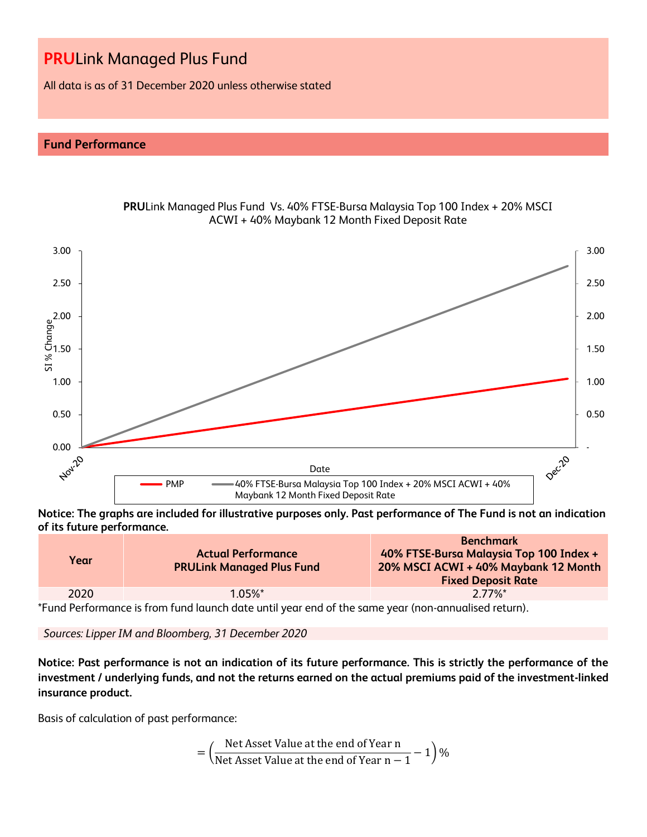All data is as of 31 December 2020 unless otherwise stated

#### **Fund Performance**



**PRU**Link Managed Plus Fund Vs. 40% FTSE-Bursa Malaysia Top 100 Index + 20% MSCI ACWI + 40% Maybank 12 Month Fixed Deposit Rate

**Notice: The graphs are included for illustrative purposes only. Past performance of The Fund is not an indication of its future performance.**

| Year | <b>Actual Performance</b><br><b>PRULink Managed Plus Fund</b>                                      | <b>Benchmark</b><br>40% FTSE-Bursa Malaysia Top 100 Index +<br>20% MSCI ACWI + 40% Maybank 12 Month<br><b>Fixed Deposit Rate</b> |
|------|----------------------------------------------------------------------------------------------------|----------------------------------------------------------------------------------------------------------------------------------|
| 2020 | $1.05\%$ *                                                                                         | $277\%$ *                                                                                                                        |
|      | *Fund Derformange is from fund laungh deta until your and of the came your (non-amounticed return) |                                                                                                                                  |

\*Fund Performance is from fund launch date until year end of the same year (non-annualised return).

*Sources: Lipper IM and Bloomberg, 31 December 2020*

**Notice: Past performance is not an indication of its future performance. This is strictly the performance of the investment / underlying funds, and not the returns earned on the actual premiums paid of the investment-linked insurance product.**

Basis of calculation of past performance:

$$
= \left(\frac{\text{Net Asset Value at the end of Year n}}{\text{Net Asset Value at the end of Year n} - 1}\right)\%
$$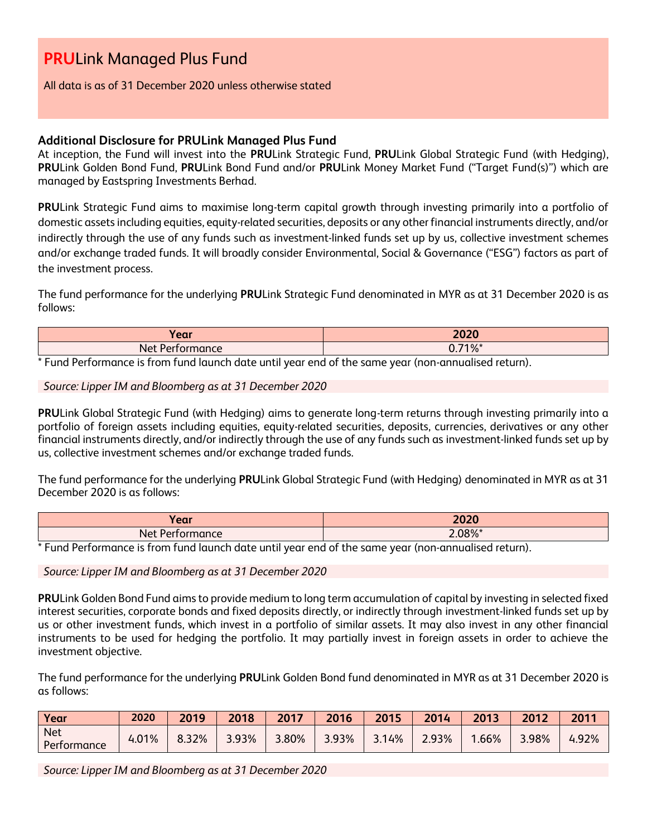All data is as of 31 December 2020 unless otherwise stated

#### **Additional Disclosure for PRULink Managed Plus Fund**

At inception, the Fund will invest into the **PRU**Link Strategic Fund, **PRU**Link Global Strategic Fund (with Hedging), **PRU**Link Golden Bond Fund, **PRU**Link Bond Fund and/or **PRU**Link Money Market Fund ("Target Fund(s)") which are managed by Eastspring Investments Berhad.

**PRU**Link Strategic Fund aims to maximise long-term capital growth through investing primarily into a portfolio of domestic assets including equities, equity-related securities, deposits or any other financial instruments directly, and/or indirectly through the use of any funds such as investment-linked funds set up by us, collective investment schemes and/or exchange traded funds. It will broadly consider Environmental, Social & Governance ("ESG") factors as part of the investment process.

The fund performance for the underlying **PRU**Link Strategic Fund denominated in MYR as at 31 December 2020 is as follows:

| rear)                                | חרחר<br><b>SUZU</b> |
|--------------------------------------|---------------------|
| <b>Net</b><br>ormance<br>.<br>$\sim$ | $0.71\%$ *<br>V.7   |

\* Fund Performance is from fund launch date until year end of the same year (non-annualised return).

*Source: Lipper IM and Bloomberg as at 31 December 2020*

**PRU**Link Global Strategic Fund (with Hedging) aims to generate long-term returns through investing primarily into a portfolio of foreign assets including equities, equity-related securities, deposits, currencies, derivatives or any other financial instruments directly, and/or indirectly through the use of any funds such as investment-linked funds set up by us, collective investment schemes and/or exchange traded funds.

The fund performance for the underlying **PRU**Link Global Strategic Fund (with Hedging) denominated in MYR as at 31 December 2020 is as follows:

| an r           | חרחר   |  |  |
|----------------|--------|--|--|
| <b>CUI</b>     | ZVZV   |  |  |
| ormance<br>Net | 2.08%* |  |  |

\* Fund Performance is from fund launch date until year end of the same year (non-annualised return).

*Source: Lipper IM and Bloomberg as at 31 December 2020*

**PRU**Link Golden Bond Fund aims to provide medium to long term accumulation of capital by investing in selected fixed interest securities, corporate bonds and fixed deposits directly, or indirectly through investment-linked funds set up by us or other investment funds, which invest in a portfolio of similar assets. It may also invest in any other financial instruments to be used for hedging the portfolio. It may partially invest in foreign assets in order to achieve the investment objective.

The fund performance for the underlying **PRU**Link Golden Bond fund denominated in MYR as at 31 December 2020 is as follows:

| Year               | 2020  | 2019  | 2018  | 2017  | 2016  | 2015  | 2014  | 2013  | 2012  | 2011  |
|--------------------|-------|-------|-------|-------|-------|-------|-------|-------|-------|-------|
| Net<br>Performance | 4.01% | 8.32% | 3.93% | 3.80% | 3.93% | 3.14% | 2.93% | 1.66% | 3.98% | 4.92% |

*Source: Lipper IM and Bloomberg as at 31 December 2020*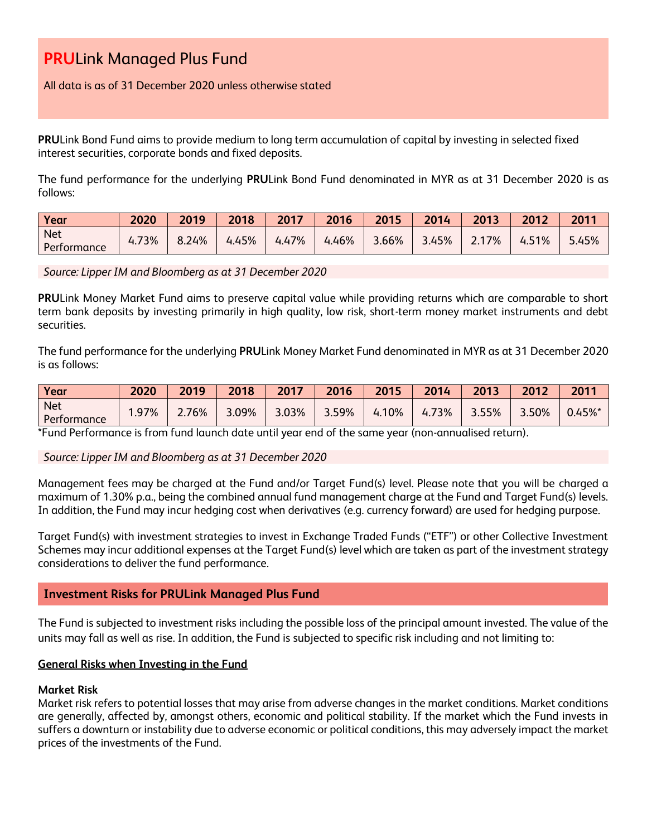All data is as of 31 December 2020 unless otherwise stated

**PRU**Link Bond Fund aims to provide medium to long term accumulation of capital by investing in selected fixed interest securities, corporate bonds and fixed deposits.

The fund performance for the underlying **PRU**Link Bond Fund denominated in MYR as at 31 December 2020 is as follows:

| Year                      | 2020  | 2019  | 2018  | 2017  | 2016  | 2015  | 2014  | 2013  | 2012  | 2011  |
|---------------------------|-------|-------|-------|-------|-------|-------|-------|-------|-------|-------|
| <b>Net</b><br>Performance | 4.73% | 8.24% | 4.45% | 4.47% | 4.46% | 3.66% | 3.45% | 2.17% | 4.51% | 5.45% |

*Source: Lipper IM and Bloomberg as at 31 December 2020*

**PRU**Link Money Market Fund aims to preserve capital value while providing returns which are comparable to short term bank deposits by investing primarily in high quality, low risk, short-term money market instruments and debt securities.

The fund performance for the underlying **PRU**Link Money Market Fund denominated in MYR as at 31 December 2020 is as follows:

| Year                      | 2020  | 2019  | 2018  | 2017  | 2016  | 2015  | 2014     | 2013       | 2012      | 2011                  |
|---------------------------|-------|-------|-------|-------|-------|-------|----------|------------|-----------|-----------------------|
| <b>Net</b><br>Performance | 1.97% | 2.76% | 3.09% | 3.03% | 3.59% | 4.10% | $4.73\%$ | $1.3.55\%$ | $13.50\%$ | $0.45\%$ <sup>*</sup> |

\*Fund Performance is from fund launch date until year end of the same year (non-annualised return).

#### *Source: Lipper IM and Bloomberg as at 31 December 2020*

Management fees may be charged at the Fund and/or Target Fund(s) level. Please note that you will be charged a maximum of 1.30% p.a., being the combined annual fund management charge at the Fund and Target Fund(s) levels. In addition, the Fund may incur hedging cost when derivatives (e.g. currency forward) are used for hedging purpose.

Target Fund(s) with investment strategies to invest in Exchange Traded Funds ("ETF") or other Collective Investment Schemes may incur additional expenses at the Target Fund(s) level which are taken as part of the investment strategy considerations to deliver the fund performance.

#### **Investment Risks for PRULink Managed Plus Fund**

The Fund is subjected to investment risks including the possible loss of the principal amount invested. The value of the units may fall as well as rise. In addition, the Fund is subjected to specific risk including and not limiting to:

#### **General Risks when Investing in the Fund**

#### **Market Risk**

Market risk refers to potential losses that may arise from adverse changes in the market conditions. Market conditions are generally, affected by, amongst others, economic and political stability. If the market which the Fund invests in suffers a downturn or instability due to adverse economic or political conditions, this may adversely impact the market prices of the investments of the Fund.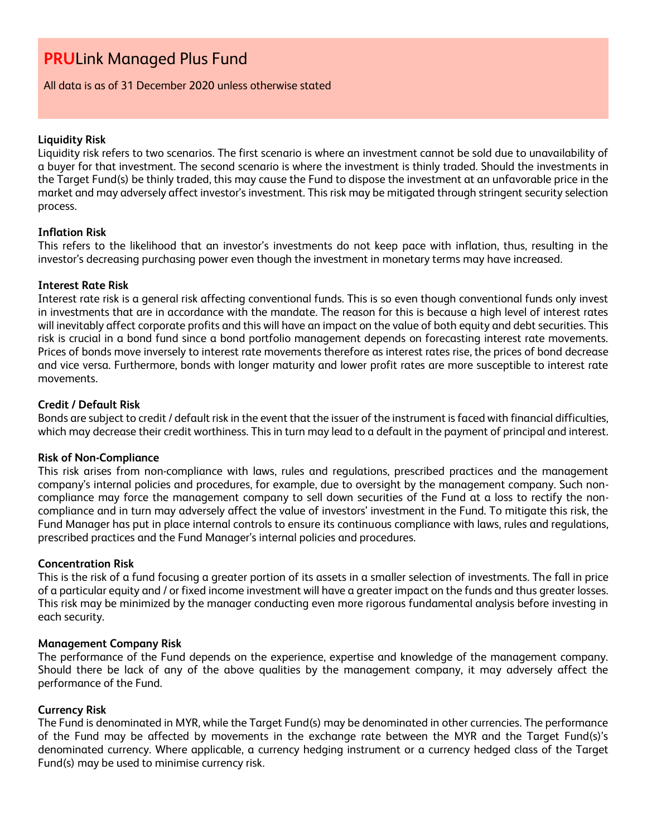All data is as of 31 December 2020 unless otherwise stated

#### **Liquidity Risk**

Liquidity risk refers to two scenarios. The first scenario is where an investment cannot be sold due to unavailability of a buyer for that investment. The second scenario is where the investment is thinly traded. Should the investments in the Target Fund(s) be thinly traded, this may cause the Fund to dispose the investment at an unfavorable price in the market and may adversely affect investor's investment. This risk may be mitigated through stringent security selection process.

#### **Inflation Risk**

This refers to the likelihood that an investor's investments do not keep pace with inflation, thus, resulting in the investor's decreasing purchasing power even though the investment in monetary terms may have increased.

#### **Interest Rate Risk**

Interest rate risk is a general risk affecting conventional funds. This is so even though conventional funds only invest in investments that are in accordance with the mandate. The reason for this is because a high level of interest rates will inevitably affect corporate profits and this will have an impact on the value of both equity and debt securities. This risk is crucial in a bond fund since a bond portfolio management depends on forecasting interest rate movements. Prices of bonds move inversely to interest rate movements therefore as interest rates rise, the prices of bond decrease and vice versa. Furthermore, bonds with longer maturity and lower profit rates are more susceptible to interest rate movements.

#### **Credit / Default Risk**

Bonds are subject to credit / default risk in the event that the issuer of the instrument is faced with financial difficulties, which may decrease their credit worthiness. This in turn may lead to a default in the payment of principal and interest.

#### **Risk of Non-Compliance**

This risk arises from non-compliance with laws, rules and regulations, prescribed practices and the management company's internal policies and procedures, for example, due to oversight by the management company. Such noncompliance may force the management company to sell down securities of the Fund at a loss to rectify the noncompliance and in turn may adversely affect the value of investors' investment in the Fund. To mitigate this risk, the Fund Manager has put in place internal controls to ensure its continuous compliance with laws, rules and regulations, prescribed practices and the Fund Manager's internal policies and procedures.

#### **Concentration Risk**

This is the risk of a fund focusing a greater portion of its assets in a smaller selection of investments. The fall in price of a particular equity and / or fixed income investment will have a greater impact on the funds and thus greater losses. This risk may be minimized by the manager conducting even more rigorous fundamental analysis before investing in each security.

#### **Management Company Risk**

The performance of the Fund depends on the experience, expertise and knowledge of the management company. Should there be lack of any of the above qualities by the management company, it may adversely affect the performance of the Fund.

#### **Currency Risk**

The Fund is denominated in MYR, while the Target Fund(s) may be denominated in other currencies. The performance of the Fund may be affected by movements in the exchange rate between the MYR and the Target Fund(s)'s denominated currency. Where applicable, a currency hedging instrument or a currency hedged class of the Target Fund(s) may be used to minimise currency risk.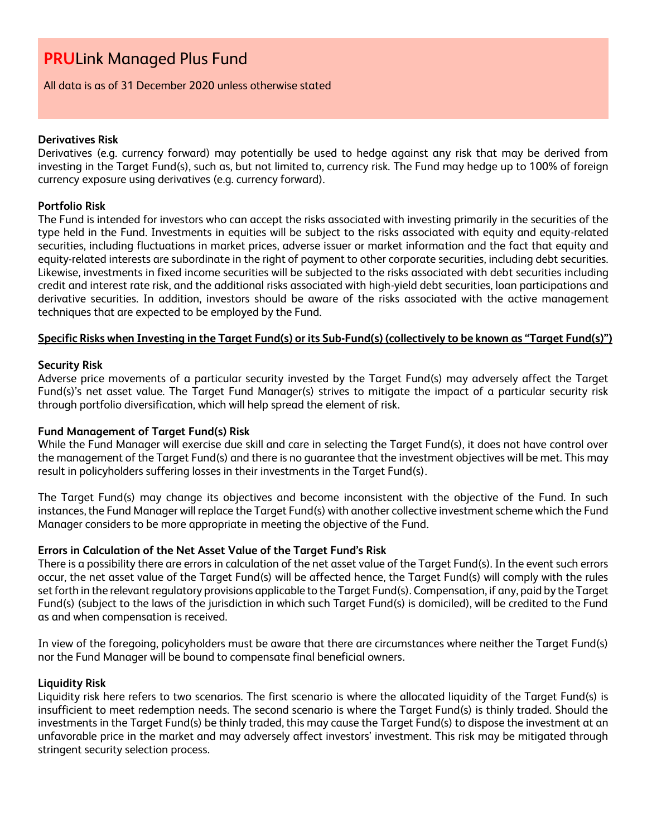All data is as of 31 December 2020 unless otherwise stated

#### **Derivatives Risk**

Derivatives (e.g. currency forward) may potentially be used to hedge against any risk that may be derived from investing in the Target Fund(s), such as, but not limited to, currency risk. The Fund may hedge up to 100% of foreign currency exposure using derivatives (e.g. currency forward).

#### **Portfolio Risk**

The Fund is intended for investors who can accept the risks associated with investing primarily in the securities of the type held in the Fund. Investments in equities will be subject to the risks associated with equity and equity-related securities, including fluctuations in market prices, adverse issuer or market information and the fact that equity and equity-related interests are subordinate in the right of payment to other corporate securities, including debt securities. Likewise, investments in fixed income securities will be subjected to the risks associated with debt securities including credit and interest rate risk, and the additional risks associated with high-yield debt securities, loan participations and derivative securities. In addition, investors should be aware of the risks associated with the active management techniques that are expected to be employed by the Fund.

#### **Specific Risks when Investing in the Target Fund(s) or its Sub-Fund(s) (collectively to be known as "Target Fund(s)")**

#### **Security Risk**

Adverse price movements of a particular security invested by the Target Fund(s) may adversely affect the Target Fund(s)'s net asset value. The Target Fund Manager(s) strives to mitigate the impact of a particular security risk through portfolio diversification, which will help spread the element of risk.

#### **Fund Management of Target Fund(s) Risk**

While the Fund Manager will exercise due skill and care in selecting the Target Fund(s), it does not have control over the management of the Target Fund(s) and there is no guarantee that the investment objectives will be met. This may result in policyholders suffering losses in their investments in the Target Fund(s).

The Target Fund(s) may change its objectives and become inconsistent with the objective of the Fund. In such instances, the Fund Manager will replace the Target Fund(s) with another collective investment scheme which the Fund Manager considers to be more appropriate in meeting the objective of the Fund.

#### **Errors in Calculation of the Net Asset Value of the Target Fund's Risk**

There is a possibility there are errors in calculation of the net asset value of the Target Fund(s). In the event such errors occur, the net asset value of the Target Fund(s) will be affected hence, the Target Fund(s) will comply with the rules set forth in the relevant regulatory provisions applicable to the Target Fund(s). Compensation, if any, paid by the Target Fund(s) (subject to the laws of the jurisdiction in which such Target Fund(s) is domiciled), will be credited to the Fund as and when compensation is received.

In view of the foregoing, policyholders must be aware that there are circumstances where neither the Target Fund(s) nor the Fund Manager will be bound to compensate final beneficial owners.

#### **Liquidity Risk**

Liquidity risk here refers to two scenarios. The first scenario is where the allocated liquidity of the Target Fund(s) is insufficient to meet redemption needs. The second scenario is where the Target Fund(s) is thinly traded. Should the investments in the Target Fund(s) be thinly traded, this may cause the Target Fund(s) to dispose the investment at an unfavorable price in the market and may adversely affect investors' investment. This risk may be mitigated through stringent security selection process.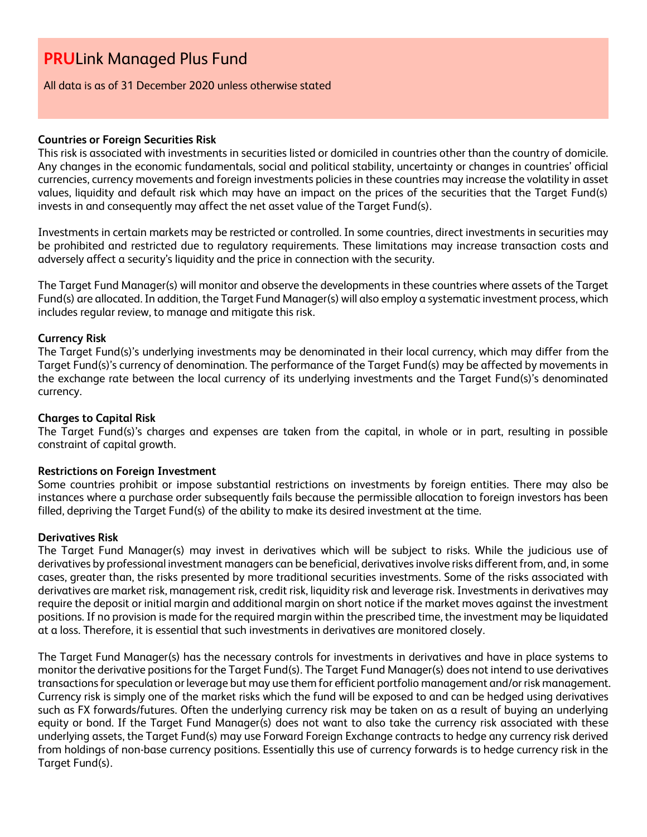All data is as of 31 December 2020 unless otherwise stated

#### **Countries or Foreign Securities Risk**

This risk is associated with investments in securities listed or domiciled in countries other than the country of domicile. Any changes in the economic fundamentals, social and political stability, uncertainty or changes in countries' official currencies, currency movements and foreign investments policies in these countries may increase the volatility in asset values, liquidity and default risk which may have an impact on the prices of the securities that the Target Fund(s) invests in and consequently may affect the net asset value of the Target Fund(s).

Investments in certain markets may be restricted or controlled. In some countries, direct investments in securities may be prohibited and restricted due to regulatory requirements. These limitations may increase transaction costs and adversely affect a security's liquidity and the price in connection with the security.

The Target Fund Manager(s) will monitor and observe the developments in these countries where assets of the Target Fund(s) are allocated. In addition, the Target Fund Manager(s) will also employ a systematic investment process, which includes regular review, to manage and mitigate this risk.

#### **Currency Risk**

The Target Fund(s)'s underlying investments may be denominated in their local currency, which may differ from the Target Fund(s)'s currency of denomination. The performance of the Target Fund(s) may be affected by movements in the exchange rate between the local currency of its underlying investments and the Target Fund(s)'s denominated currency.

#### **Charges to Capital Risk**

The Target Fund(s)'s charges and expenses are taken from the capital, in whole or in part, resulting in possible constraint of capital growth.

#### **Restrictions on Foreign Investment**

Some countries prohibit or impose substantial restrictions on investments by foreign entities. There may also be instances where a purchase order subsequently fails because the permissible allocation to foreign investors has been filled, depriving the Target Fund(s) of the ability to make its desired investment at the time.

#### **Derivatives Risk**

The Target Fund Manager(s) may invest in derivatives which will be subject to risks. While the judicious use of derivatives by professional investment managers can be beneficial, derivatives involve risks different from, and, in some cases, greater than, the risks presented by more traditional securities investments. Some of the risks associated with derivatives are market risk, management risk, credit risk, liquidity risk and leverage risk. Investments in derivatives may require the deposit or initial margin and additional margin on short notice if the market moves against the investment positions. If no provision is made for the required margin within the prescribed time, the investment may be liquidated at a loss. Therefore, it is essential that such investments in derivatives are monitored closely.

The Target Fund Manager(s) has the necessary controls for investments in derivatives and have in place systems to monitor the derivative positions for the Target Fund(s). The Target Fund Manager(s) does not intend to use derivatives transactions for speculation or leverage but may use them for efficient portfolio management and/or risk management. Currency risk is simply one of the market risks which the fund will be exposed to and can be hedged using derivatives such as FX forwards/futures. Often the underlying currency risk may be taken on as a result of buying an underlying equity or bond. If the Target Fund Manager(s) does not want to also take the currency risk associated with these underlying assets, the Target Fund(s) may use Forward Foreign Exchange contracts to hedge any currency risk derived from holdings of non-base currency positions. Essentially this use of currency forwards is to hedge currency risk in the Target Fund(s).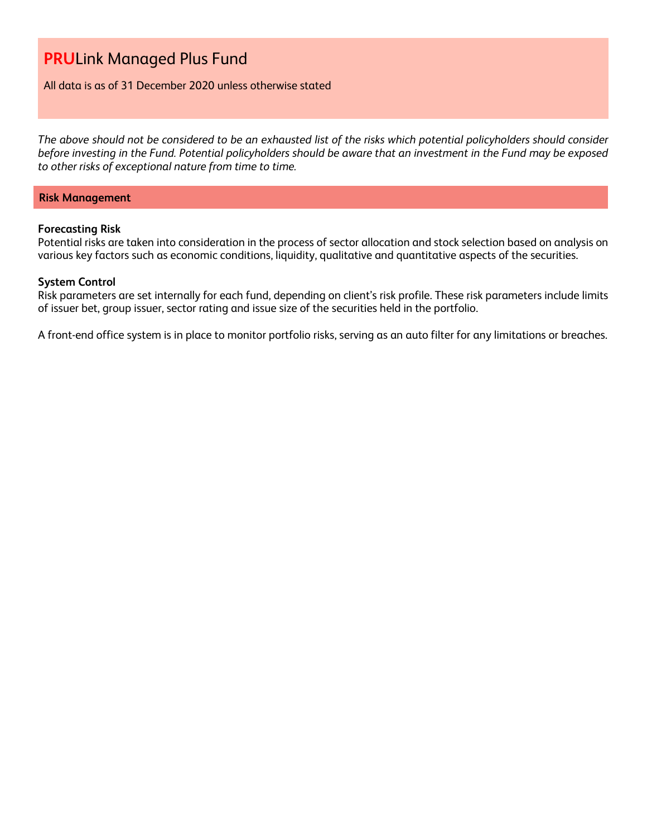All data is as of 31 December 2020 unless otherwise stated

*The above should not be considered to be an exhausted list of the risks which potential policyholders should consider before investing in the Fund. Potential policyholders should be aware that an investment in the Fund may be exposed to other risks of exceptional nature from time to time.*

#### **Risk Management**

#### **Forecasting Risk**

Potential risks are taken into consideration in the process of sector allocation and stock selection based on analysis on various key factors such as economic conditions, liquidity, qualitative and quantitative aspects of the securities.

#### **System Control**

Risk parameters are set internally for each fund, depending on client's risk profile. These risk parameters include limits of issuer bet, group issuer, sector rating and issue size of the securities held in the portfolio.

A front-end office system is in place to monitor portfolio risks, serving as an auto filter for any limitations or breaches.